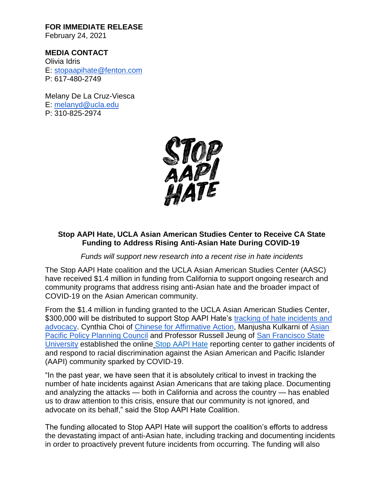**FOR IMMEDIATE RELEASE**  February 24, 2021

## **MEDIA CONTACT**

Olivia Idris E: [stopaapihate@fenton.com](mailto:stopaapihate@fenton.com) P: 617-480-2749

Melany De La Cruz-Viesca E: [melanyd@ucla.edu](mailto:melanyd@ucla.edu) P: 310-825-2974



## **Stop AAPI Hate, UCLA Asian American Studies Center to Receive CA State Funding to Address Rising Anti-Asian Hate During COVID-19**

*Funds will support new research into a recent rise in hate incidents*

The Stop AAPI Hate coalition and the UCLA Asian American Studies Center (AASC) have received \$1.4 million in funding from California to support ongoing research and community programs that address rising anti-Asian hate and the broader impact of COVID-19 on the Asian American community.

From the \$1.4 million in funding granted to the UCLA Asian American Studies Center, \$300,000 will be distributed to support Stop AAPI Hate's tracking of hate incidents and [advocacy.](https://stopaapihate.org/) Cynthia Choi of [Chinese for Affirmative Action,](https://caasf.org/) Manjusha Kulkarni of [Asian](http://www.asianpacificpolicyandplanningcouncil.org/)  [Pacific Policy Planning Council](http://www.asianpacificpolicyandplanningcouncil.org/) and Professor Russell Jeung of San Francisco State [University](https://www.sfsu.edu/) established the online [Stop AAPI Hate](https://stopaapihate.org/) reporting center to gather incidents of and respond to racial discrimination against the Asian American and Pacific Islander (AAPI) community sparked by COVID-19.

"In the past year, we have seen that it is absolutely critical to invest in tracking the number of hate incidents against Asian Americans that are taking place. Documenting and analyzing the attacks — both in California and across the country — has enabled us to draw attention to this crisis, ensure that our community is not ignored, and advocate on its behalf," said the Stop AAPI Hate Coalition.

The funding allocated to Stop AAPI Hate will support the coalition's efforts to address the devastating impact of anti-Asian hate, including tracking and documenting incidents in order to proactively prevent future incidents from occurring. The funding will also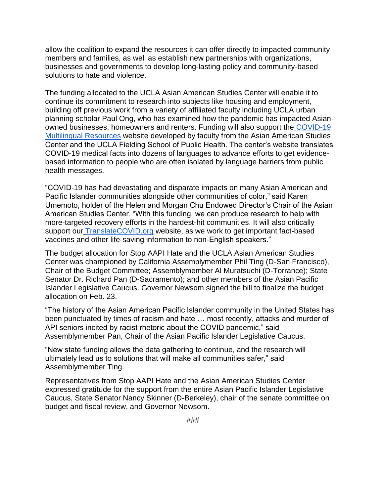allow the coalition to expand the resources it can offer directly to impacted community members and families, as well as establish new partnerships with organizations, businesses and governments to develop long-lasting policy and community-based solutions to hate and violence.

The funding allocated to the UCLA Asian American Studies Center will enable it to continue its commitment to research into subjects like housing and employment, building off previous work from a variety of affiliated faculty including UCLA urban planning scholar Paul Ong, who has examined how the pandemic has impacted Asianowned businesses, homeowners and renters. Funding will also support the [COVID-19](http://www.translatecovid.org/)  [Multilingual Resources](http://www.translatecovid.org/) website developed by faculty from the Asian American Studies Center and the UCLA Fielding School of Public Health. The center's website translates COVID-19 medical facts into dozens of languages to advance efforts to get evidencebased information to people who are often isolated by language barriers from public health messages.

"COVID-19 has had devastating and disparate impacts on many Asian American and Pacific Islander communities alongside other communities of color," said Karen Umemoto, holder of the Helen and Morgan Chu Endowed Director's Chair of the Asian American Studies Center. "With this funding, we can produce research to help with more-targeted recovery efforts in the hardest-hit communities. It will also critically support our [TranslateCOVID.org](https://www.translatecovid.org/) website, as we work to get important fact-based vaccines and other life-saving information to non-English speakers."

The budget allocation for Stop AAPI Hate and the UCLA Asian American Studies Center was championed by California Assemblymember Phil Ting (D-San Francisco), Chair of the Budget Committee; Assemblymember Al Muratsuchi (D-Torrance); State Senator Dr. Richard Pan (D-Sacramento); and other members of the Asian Pacific Islander Legislative Caucus. Governor Newsom signed the bill to finalize the budget allocation on Feb. 23.

"The history of the Asian American Pacific Islander community in the United States has been punctuated by times of racism and hate … most recently, attacks and murder of API seniors incited by racist rhetoric about the COVID pandemic," said Assemblymember Pan, Chair of the Asian Pacific Islander Legislative Caucus.

"New state funding allows the data gathering to continue, and the research will ultimately lead us to solutions that will make all communities safer," said Assemblymember Ting.

Representatives from Stop AAPI Hate and the Asian American Studies Center expressed gratitude for the support from the entire Asian Pacific Islander Legislative Caucus, State Senator Nancy Skinner (D-Berkeley), chair of the senate committee on budget and fiscal review, and Governor Newsom.